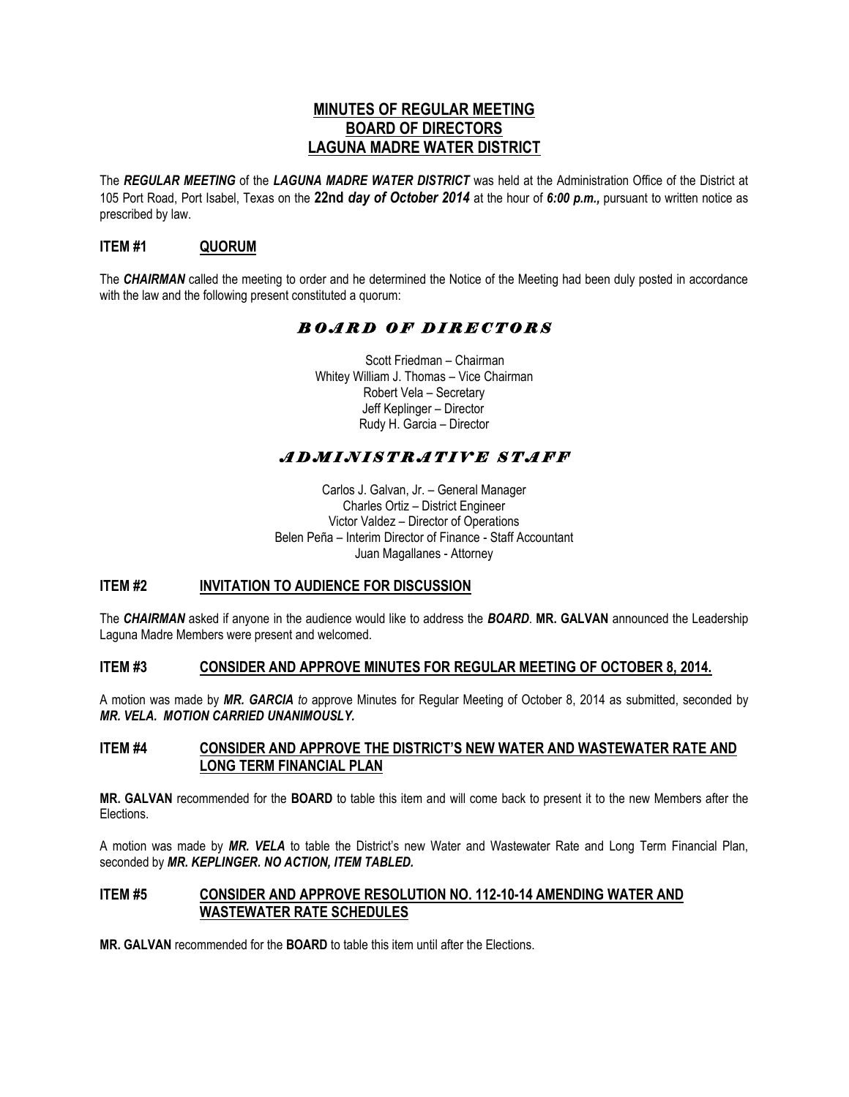## **MINUTES OF REGULAR MEETING BOARD OF DIRECTORS LAGUNA MADRE WATER DISTRICT**

The *REGULAR MEETING* of the *LAGUNA MADRE WATER DISTRICT* was held at the Administration Office of the District at 105 Port Road, Port Isabel, Texas on the **22nd** *day of October 2014* at the hour of *6:00 p.m.,* pursuant to written notice as prescribed by law.

## **ITEM #1 QUORUM**

The *CHAIRMAN* called the meeting to order and he determined the Notice of the Meeting had been duly posted in accordance with the law and the following present constituted a quorum:

# *B O A R D O F D I R E C T O R S*

 Scott Friedman – Chairman Whitey William J. Thomas – Vice Chairman Robert Vela – Secretary Jeff Keplinger – Director Rudy H. Garcia – Director

# *A D M I N I S T R A T I V E S T A F F*

Carlos J. Galvan, Jr. – General Manager Charles Ortiz – District Engineer Victor Valdez – Director of Operations Belen Peña – Interim Director of Finance - Staff Accountant Juan Magallanes - Attorney

## **ITEM #2 INVITATION TO AUDIENCE FOR DISCUSSION**

The *CHAIRMAN* asked if anyone in the audience would like to address the *BOARD*. **MR. GALVAN** announced the Leadership Laguna Madre Members were present and welcomed.

### **ITEM #3 CONSIDER AND APPROVE MINUTES FOR REGULAR MEETING OF OCTOBER 8, 2014.**

A motion was made by *MR. GARCIA to* approve Minutes for Regular Meeting of October 8, 2014 as submitted, seconded by *MR. VELA. MOTION CARRIED UNANIMOUSLY.* 

#### **ITEM #4 CONSIDER AND APPROVE THE DISTRICT'S NEW WATER AND WASTEWATER RATE AND LONG TERM FINANCIAL PLAN**

**MR. GALVAN** recommended for the **BOARD** to table this item and will come back to present it to the new Members after the **Elections** 

A motion was made by *MR. VELA* to table the District's new Water and Wastewater Rate and Long Term Financial Plan, seconded by *MR. KEPLINGER. NO ACTION, ITEM TABLED.* 

#### **ITEM #5 CONSIDER AND APPROVE RESOLUTION NO. 112-10-14 AMENDING WATER AND WASTEWATER RATE SCHEDULES**

**MR. GALVAN** recommended for the **BOARD** to table this item until after the Elections.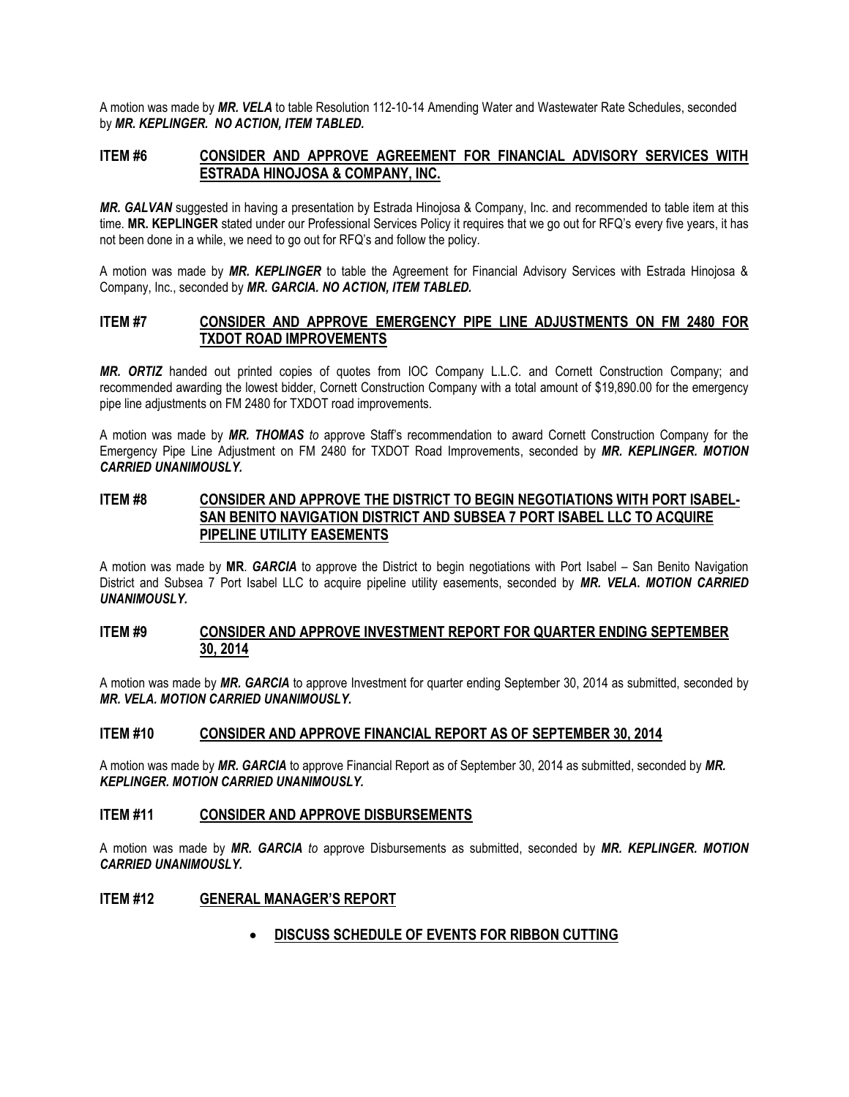A motion was made by *MR. VELA* to table Resolution 112-10-14 Amending Water and Wastewater Rate Schedules, seconded by *MR. KEPLINGER. NO ACTION, ITEM TABLED.*

#### **ITEM #6 CONSIDER AND APPROVE AGREEMENT FOR FINANCIAL ADVISORY SERVICES WITH ESTRADA HINOJOSA & COMPANY, INC.**

*MR. GALVAN* suggested in having a presentation by Estrada Hinojosa & Company, Inc. and recommended to table item at this time. **MR. KEPLINGER** stated under our Professional Services Policy it requires that we go out for RFQ's every five years, it has not been done in a while, we need to go out for RFQ's and follow the policy.

A motion was made by *MR. KEPLINGER* to table the Agreement for Financial Advisory Services with Estrada Hinojosa & Company, Inc., seconded by *MR. GARCIA. NO ACTION, ITEM TABLED.*

#### **ITEM #7 CONSIDER AND APPROVE EMERGENCY PIPE LINE ADJUSTMENTS ON FM 2480 FOR TXDOT ROAD IMPROVEMENTS**

*MR. ORTIZ* handed out printed copies of quotes from IOC Company L.L.C. and Cornett Construction Company; and recommended awarding the lowest bidder, Cornett Construction Company with a total amount of \$19,890.00 for the emergency pipe line adjustments on FM 2480 for TXDOT road improvements.

A motion was made by *MR. THOMAS to* approve Staff's recommendation to award Cornett Construction Company for the Emergency Pipe Line Adjustment on FM 2480 for TXDOT Road Improvements, seconded by *MR. KEPLINGER. MOTION CARRIED UNANIMOUSLY.*

#### **ITEM #8 CONSIDER AND APPROVE THE DISTRICT TO BEGIN NEGOTIATIONS WITH PORT ISABEL-SAN BENITO NAVIGATION DISTRICT AND SUBSEA 7 PORT ISABEL LLC TO ACQUIRE PIPELINE UTILITY EASEMENTS**

A motion was made by **MR**. *GARCIA* to approve the District to begin negotiations with Port Isabel – San Benito Navigation District and Subsea 7 Port Isabel LLC to acquire pipeline utility easements, seconded by *MR. VELA***.** *MOTION CARRIED UNANIMOUSLY.*

#### **ITEM #9 CONSIDER AND APPROVE INVESTMENT REPORT FOR QUARTER ENDING SEPTEMBER 30, 2014**

A motion was made by *MR. GARCIA* to approve Investment for quarter ending September 30, 2014 as submitted, seconded by *MR. VELA. MOTION CARRIED UNANIMOUSLY.*

#### **ITEM #10 CONSIDER AND APPROVE FINANCIAL REPORT AS OF SEPTEMBER 30, 2014**

A motion was made by *MR. GARCIA* to approve Financial Report as of September 30, 2014 as submitted, seconded by *MR. KEPLINGER. MOTION CARRIED UNANIMOUSLY.*

#### **ITEM #11 CONSIDER AND APPROVE DISBURSEMENTS**

A motion was made by *MR. GARCIA to* approve Disbursements as submitted, seconded by *MR. KEPLINGER. MOTION CARRIED UNANIMOUSLY.*

#### **ITEM #12 GENERAL MANAGER'S REPORT**

#### **DISCUSS SCHEDULE OF EVENTS FOR RIBBON CUTTING**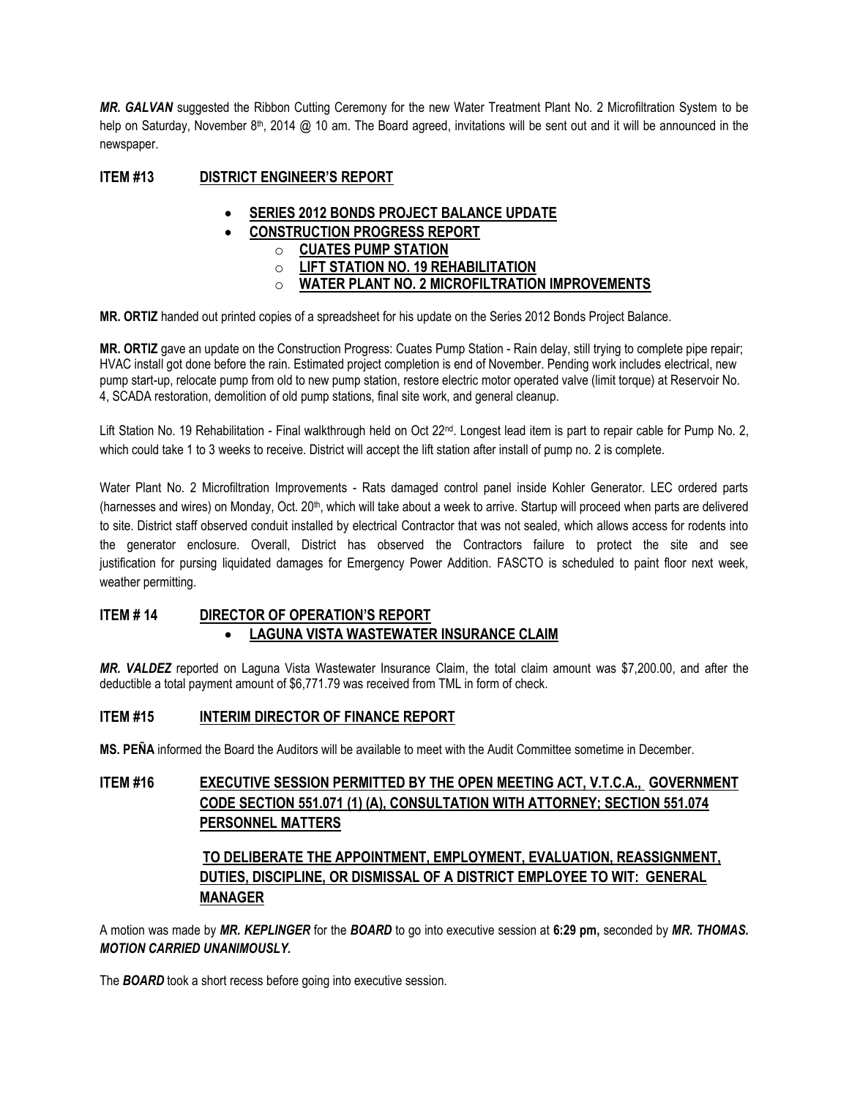*MR. GALVAN* suggested the Ribbon Cutting Ceremony for the new Water Treatment Plant No. 2 Microfiltration System to be help on Saturday, November 8<sup>th</sup>, 2014 @ 10 am. The Board agreed, invitations will be sent out and it will be announced in the newspaper.

### **ITEM #13 DISTRICT ENGINEER'S REPORT**

- **SERIES 2012 BONDS PROJECT BALANCE UPDATE**
- **CONSTRUCTION PROGRESS REPORT** 
	- o **CUATES PUMP STATION**
	- o **LIFT STATION NO. 19 REHABILITATION**
	- o **WATER PLANT NO. 2 MICROFILTRATION IMPROVEMENTS**

**MR. ORTIZ** handed out printed copies of a spreadsheet for his update on the Series 2012 Bonds Project Balance.

**MR. ORTIZ** gave an update on the Construction Progress: Cuates Pump Station - Rain delay, still trying to complete pipe repair; HVAC install got done before the rain. Estimated project completion is end of November. Pending work includes electrical, new pump start-up, relocate pump from old to new pump station, restore electric motor operated valve (limit torque) at Reservoir No. 4, SCADA restoration, demolition of old pump stations, final site work, and general cleanup.

Lift Station No. 19 Rehabilitation - Final walkthrough held on Oct 22<sup>nd</sup>. Longest lead item is part to repair cable for Pump No. 2, which could take 1 to 3 weeks to receive. District will accept the lift station after install of pump no. 2 is complete.

Water Plant No. 2 Microfiltration Improvements - Rats damaged control panel inside Kohler Generator. LEC ordered parts (harnesses and wires) on Monday, Oct. 20<sup>th</sup>, which will take about a week to arrive. Startup will proceed when parts are delivered to site. District staff observed conduit installed by electrical Contractor that was not sealed, which allows access for rodents into the generator enclosure. Overall, District has observed the Contractors failure to protect the site and see justification for pursing liquidated damages for Emergency Power Addition. FASCTO is scheduled to paint floor next week, weather permitting.

### **ITEM # 14 DIRECTOR OF OPERATION'S REPORT LAGUNA VISTA WASTEWATER INSURANCE CLAIM**

*MR. VALDEZ* reported on Laguna Vista Wastewater Insurance Claim, the total claim amount was \$7,200.00, and after the deductible a total payment amount of \$6,771.79 was received from TML in form of check.

#### **ITEM #15 INTERIM DIRECTOR OF FINANCE REPORT**

**MS. PEÑA** informed the Board the Auditors will be available to meet with the Audit Committee sometime in December.

## **ITEM #16 EXECUTIVE SESSION PERMITTED BY THE OPEN MEETING ACT, V.T.C.A., GOVERNMENT CODE SECTION 551.071 (1) (A), CONSULTATION WITH ATTORNEY; SECTION 551.074 PERSONNEL MATTERS**

## **TO DELIBERATE THE APPOINTMENT, EMPLOYMENT, EVALUATION, REASSIGNMENT, DUTIES, DISCIPLINE, OR DISMISSAL OF A DISTRICT EMPLOYEE TO WIT: GENERAL MANAGER**

A motion was made by *MR. KEPLINGER* for the *BOARD* to go into executive session at **6:29 pm,** seconded by *MR. THOMAS. MOTION CARRIED UNANIMOUSLY.* 

The *BOARD* took a short recess before going into executive session.